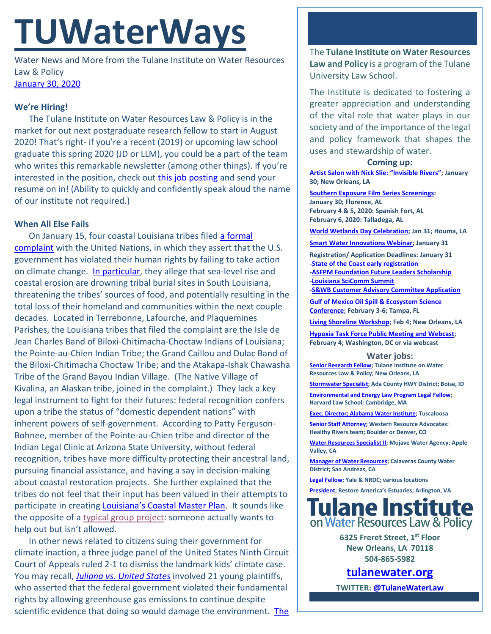# **TUWaterWays**

Water News and More from the Tulane Institute on Water Resources Law & Policy [January 30, 2020](https://thisdayinwaterhistory.wordpress.com/)

## **We're Hiring!**

The Tulane Institute on Water Resources Law & Policy is in the market for out next postgraduate research fellow to start in August 2020! That's right- if you're a recent (2019) or upcoming law school graduate this spring 2020 (JD or LLM), you could be a part of the team who writes this remarkable newsletter (among other things). If you're interested in the position, check out [this job posting](https://jobs.tulane.edu/position/IRC18420) and send your resume on in! (Ability to quickly and confidently speak aloud the name of our institute not required.)

# **When All Else Fails**

On January 15, four coastal Louisiana tribes filed [a formal](https://assets.documentcloud.org/documents/6656724/Louisiana-Tribes-Complaint-to-UN.pdf)  [complaint](https://assets.documentcloud.org/documents/6656724/Louisiana-Tribes-Complaint-to-UN.pdf) with the United Nations, in which they assert that the U.S. government has violated their human rights by failing to take action on climate change. [In particular,](https://www.nola.com/news/article_c63ee390-3754-11ea-8c6f-57f94fd14a5a.html) they allege that sea-level rise and coastal erosion are drowning tribal burial sites in South Louisiana, threatening the tribes' sources of food, and potentially resulting in the total loss of their homeland and communities within the next couple decades. Located in Terrebonne, Lafourche, and Plaquemines Parishes, the Louisiana tribes that filed the complaint are the Isle de Jean Charles Band of Biloxi-Chitimacha-Choctaw Indians of Louisiana; the Pointe-au-Chien Indian Tribe; the Grand Caillou and Dulac Band of the Biloxi-Chitimacha Choctaw Tribe; and the Atakapa-Ishak Chawasha Tribe of the Grand Bayou Indian Village. (The Native Village of Kivalina, an Alaskan tribe, joined in the complaint.) They lack a key legal instrument to fight for their futures: federal recognition confers upon a tribe the status of "domestic dependent nations" with inherent powers of self-government. According to Patty Ferguson-Bohnee, member of the Pointe-au-Chien tribe and director of the Indian Legal Clinic at Arizona State University, without federal recognition, tribes have more difficulty protecting their ancestral land, pursuing financial assistance, and having a say in decision-making about coastal restoration projects. She further explained that the tribes do not feel that their input has been valued in their attempts to participate in creating [Louisiana's Coastal Master Plan.](http://coastal.la.gov/our-plan/2017-coastal-master-plan/) It sounds like the opposite of [a typical group project:](https://static.twentytwowords.com/cdn-cgi/image/width=1200,quality=85,fit=scale-down,format=auto,onerror=redirect/https:/static.twentytwowords.com/wp-content/uploads/Definitive-Proof-That-Group-Projects-Should-Actually-Be-Illegal_LEAD.jpg) someone actually wants to help out but isn't allowed.

In other news related to citizens suing their government for climate inaction, a three judge panel of the United States Ninth Circuit Court of Appeals ruled 2-1 to dismiss the landmark kids' climate case. You may recall, *[Juliana vs. United States](http://climatecasechart.com/case/juliana-v-united-states/)* involved 21 young plaintiffs, who asserted that the federal government violated their fundamental rights by allowing greenhouse gas emissions to continue despite scientific evidence that doing so would damage the environment. The

The **Tulane Institute on Water Resources Law and Policy** is a program of the Tulane University Law School.

The Institute is dedicated to fostering a greater appreciation and understanding of the vital role that water plays in our society and of the importance of the legal and policy framework that shapes the uses and stewardship of water.

## **Coming up:**

**[Artist Salon with Nick Slie: "Invisible Rivers";](http://www.astudiointhewoods.org/event/artist-salon-with-nick-slie/) January 30; New Orleans, LA**

**[Southern Exposure Film Series](https://www.southernexposurefilms.org/about) Screenings: January 30; Florence, AL February 4 & 5, 2020: Spanish Fort, AL February 6, 2020: Talladega, AL**

**[World Wetlands Day Celebration;](http://slwdc.org/programs/world-wetlands-day/) Jan 31; Houma, LA**

**[Smart Water Innovations Webinar;](https://register.gotowebinar.com/register/7160292803255768333) January 31**

**Registration/ Application Deadlines: January 31 [-State of the Coast early registration](https://www.stateofthecoast.org/rates) [-ASFPM Foundation Future Leaders Scholarship](https://www.asfpmfoundation.org/scholarships/future-leaders/scholarship-details?utm_source=The+Greater+New+Orleans+Water+Collaborative&utm_campaign=ba016a6a76-EMAIL_CAMPAIGN_2020_01_08_07_11&utm_medium=email&utm_term=0_fea59dce29-ba016a6a76-344200133) [-Louisiana SciComm Summit](https://www.laseagrant.org/outreach/ladia/lascicomm/)**

**[-S&WB Customer Advisory Committee Application](https://www.swbno.org/Projects/CustomerAdvisoryCommittee?utm_source=The+Greater+New+Orleans+Water+Collaborative&utm_campaign=144416a932-EMAIL_CAMPAIGN_2020_01_08_07_11_COPY_01&utm_medium=email&utm_term=0_fea59dce29-144416a932-344200133) [Gulf of Mexico Oil Spill & Ecosystem Science](http://www.cvent.com/events/2020-gulf-of-mexico-oil-spill-and-ecosystem-science-conference/event-summary-98fc6c2772c6439ca3b128ab3044f05c.aspx)** 

**[Conference;](http://www.cvent.com/events/2020-gulf-of-mexico-oil-spill-and-ecosystem-science-conference/event-summary-98fc6c2772c6439ca3b128ab3044f05c.aspx) February 3-6; Tampa, FL**

**[Living Shoreline Workshop;](https://www.eventbrite.com/e/living-shoreline-decision-support-tools-workshop-lake-pontchartrain-tickets-86551585121) Feb 4; New Orleans, LA**

**[Hypoxia Task Force Public Meeting and Webcast;](https://water-meetings.tetratech.com/Hypoxia/Registrations/RegistrationPublic) February 4; Washington, DC or via webcast**

#### **Water jobs:**

**[Senior Research Fellow;](https://jobs.tulane.edu/position/IRC18420) Tulane Institute on Water Resources Law & Policy; New Orleans, LA**

**[Stormwater Specialist;](https://bcwaterjobs.secure.force.com/ViewJob?id=a0C0e00000QSpPf&trk_msg=MF1P400BNKOKJ7TL7FSCUD1SSO&trk_contact=N7B6CB5HL8LNHRPKSHT2D49LF8&trk_sid=JUROS3F439NSPT0CJ6CRQFKHSO&utm_source=listrak&utm_medium=email&utm_term=https%3a%2f%2fbcwaterjobs.secure.force.com%2fViewJob%3fid%3da0C0e00000QSpPf&utm_campaign=BCWaterNews-CA&utm_content=BCWaterNews-CA) Ada County HWY District; Boise, ID**

**[Environmental and Energy Law Program Legal Fellow;](https://eelp.law.harvard.edu/2019/11/eelp-legal-fellow-position-open/) Harvard Law School; Cambridge, MA**

**[Exec. Director; Alabama Water Institute;](http://staffjobs.ua.edu/cw/en-us/job/510434/executive-director-alabama-water-institute-510434) Tuscaloosa**

**[Senior Staff Attorney;](https://westernresourceadvocates.org/careers/senior-staff-attorney/) Western Resource Advocates: Healthy Rivers team; Boulder or Denver, CO**

**[Water Resources Specialist II;](https://bcwaterjobs.secure.force.com/ViewJob?id=a0C0e00000QSpST&trk_msg=MF1P400BNKOKJ7TL7FSCUD1SSO&trk_contact=N7B6CB5HL8LNHRPKSHT2D49LF8&trk_sid=JUROS3F439NSPT0CJ6CRQFKHSO&utm_source=listrak&utm_medium=email&utm_term=https%3a%2f%2fbcwaterjobs.secure.force.com%2fViewJob%3fid%3da0C0e00000QSpST&utm_campaign=BCWaterNews-CA&utm_content=BCWaterNews-CA) Mojave Water Agency; Apple Valley, CA**

**[Manager of Water Resources;](https://bcwaterjobs.secure.force.com/ViewJob?id=a0C0e00000QSpGi&trk_msg=0D5H40LP9BFK3D7INAV3BT8LDO&trk_contact=N7B6CB5HL8LNHRPKSHT2D49LF8&trk_sid=A3BM2CIJQQ4BPUP11O221CA94G&utm_source=listrak&utm_medium=email&utm_term=https%3a%2f%2fbcwaterjobs.secure.force.com%2fViewJob%3fid%3da0C0e00000QSpGi&utm_campaign=BCWaterNews-West&utm_content=BCWaterNews-West) Calaveras County Water District; San Andreas, CA**

**[Legal Fellow;](https://careers-nrdc.icims.com/jobs/4324/yale-nrdc-legal-fellow/job?mode=view&&mobile=false&&width=747&&height=500&&bga=true&&needsRedirect=false&&jan1offset=-300&&jun1offset=-240) Yale & NRDC; various locations**

**[President;](https://leaderfit.catsone.com/careers/20424-General/jobs/13115818-President-Restore-Americas-Estuaries/) Restore America's Estuaries; Arlington, VA**



**6325 Freret Street, 1st Floor New Orleans, LA 70118 504-865-5982**

**tulanewater.org**

**TWITTER[: @TulaneWaterLaw](http://www.twitter.com/TulaneWaterLaw)**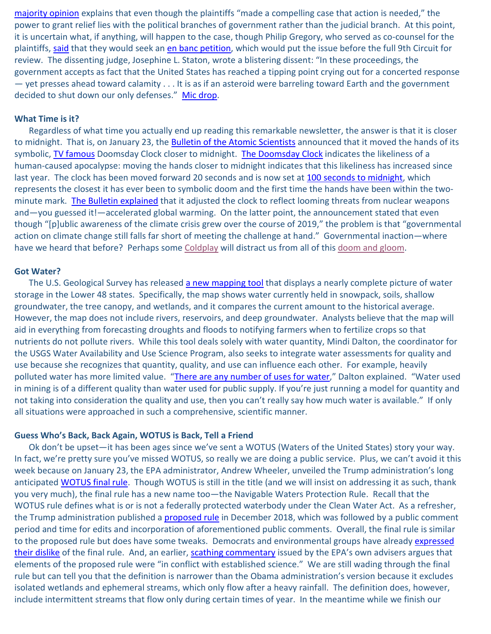[majority opinion](http://cdn.ca9.uscourts.gov/datastore/opinions/2020/01/17/18-36082.pdf) explains that even though the plaintiffs "made a compelling case that action is needed," the power to grant relief lies with the political branches of government rather than the judicial branch. At this point, it is uncertain what, if anything, will happen to the case, though Philip Gregory, who served as co-counsel for the plaintiffs, [said](https://www.npr.org/2020/01/17/797416530/kids-climate-case-reluctantly-dismissed-by-appeals-court) that they would seek an [en banc petition,](https://www.oregonlaws.org/glossary/definition/en_banc) which would put the issue before the full 9th Circuit for review. The dissenting judge, Josephine L. Staton, wrote a blistering dissent: "In these proceedings, the government accepts as fact that the United States has reached a tipping point crying out for a concerted response — yet presses ahead toward calamity . . . It is as if an asteroid were barreling toward Earth and the government decided to shut down our only defenses." [Mic drop.](https://www.youtube.com/watch?v=jSFIwS2b-kg)

## **What Time is it?**

Regardless of what time you actually end up reading this remarkable newsletter, the answer is that it is closer to midnight. That is, on January 23, the **Bulletin of the Atomic Scientists** announced that it moved the hands of its symbolic, [TV famous](https://www.imdb.com/video/vi3857562649?playlistId=tt5456154&ref_=tt_ov_vi) Doomsday Clock closer to midnight. [The Doomsday Clock](https://en.wikipedia.org/wiki/Doomsday_Clock) indicates the likeliness of a human-caused apocalypse: moving the hands closer to midnight indicates that this likeliness has increased since last year. The clock has been moved forward 20 seconds and is now set at [100 seconds to midnight,](https://ichef.bbci.co.uk/news/410/cpsprodpb/138BE/production/_110626008_doomsday_clock_hour_clock640-nc.png) which represents the closest it has ever been to symbolic doom and the first time the hands have been within the twominute mark. [The Bulletin explained](https://thebulletin.org/doomsday-clock/current-time) that it adjusted the clock to reflect looming threats from nuclear weapons and—you guessed it!—accelerated global warming. On the latter point, the announcement stated that even though "[p]ublic awareness of the climate crisis grew over the course of 2019," the problem is that "governmental action on climate change still falls far short of meeting the challenge at hand." Governmental inaction—where have we heard that before? Perhaps some [Coldplay](https://www.youtube.com/watch?v=BQeMxWjpr-Y) will distract us from all of this [doom and gloom.](https://www.youtube.com/watch?v=rPFGWVKXxm0)

### **Got Water?**

The U.S. Geological Survey has released [a new mapping tool](https://labs.waterdata.usgs.gov/estimated-availability/#/) that displays a nearly complete picture of water storage in the Lower 48 states. Specifically, the map shows water currently held in snowpack, soils, shallow groundwater, the tree canopy, and wetlands, and it compares the current amount to the historical average. However, the map does not include rivers, reservoirs, and deep groundwater. Analysts believe that the map will aid in everything from forecasting droughts and floods to notifying farmers when to fertilize crops so that nutrients do not pollute rivers. While this tool deals solely with water quantity, Mindi Dalton, the coordinator for the USGS Water Availability and Use Science Program, also seeks to integrate water assessments for quality and use because she recognizes that quantity, quality, and use can influence each other. For example, heavily polluted water has more limited value. ["There are any number of uses for water,](https://www.circleofblue.org/2020/world/u-s-water-data-refreshed-daily/)" Dalton explained. "Water used in mining is of a different quality than water used for public supply. If you're just running a model for quantity and not taking into consideration the quality and use, then you can't really say how much water is available." If only all situations were approached in such a comprehensive, scientific manner.

## **Guess Who's Back, Back Again, WOTUS is Back, Tell a Friend**

Ok don't be upset—it has been ages since we've sent a WOTUS (Waters of the United States) story your way. In fact, we're pretty sure you've missed WOTUS, so really we are doing a public service. Plus, we can't avoid it this week because on January 23, the EPA administrator, Andrew Wheeler, unveiled the Trump administration's long anticipated WOTUS [final rule.](https://www.epa.gov/sites/production/files/2020-01/documents/navigable_waters_protection_rule_prepbulication.pdf) Though WOTUS is still in the title (and we will insist on addressing it as such, thank you very much), the final rule has a new name too—the Navigable Waters Protection Rule. Recall that the WOTUS rule defines what is or is not a federally protected waterbody under the Clean Water Act. As a refresher, the Trump administration published a **[proposed rule](https://www.epa.gov/sites/production/files/2018-12/documents/wotus_2040-af75_nprm_frn_2018-12-11_prepublication2_1.pdf)** in December 2018, which was followed by a public comment period and time for edits and incorporation of aforementioned public comments. Overall, the final rule is similar to the proposed rule but does have some tweaks. Democrats and environmental groups have already expressed [their dislike](https://thehill.com/policy/energy-environment/479634-trumps-latest-water-policy-exposes-sharp-divides) of the final rule. And, an earlier, [scathing commentary](https://www.eenews.net/assets/2020/01/02/document_gw_04.pdf) issued by the EPA's own advisers argues that elements of the proposed rule were "in conflict with established science." We are still wading through the final rule but can tell you that the definition is narrower than the Obama administration's version because it excludes isolated wetlands and ephemeral streams, which only flow after a heavy rainfall. The definition does, however, include intermittent streams that flow only during certain times of year. In the meantime while we finish our